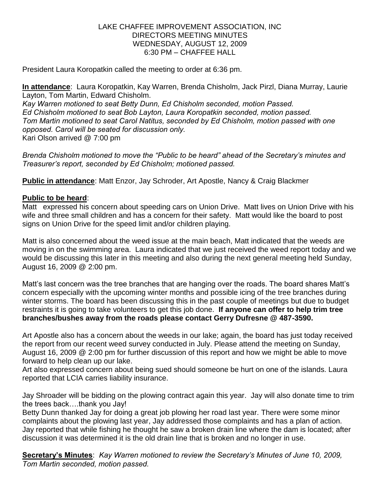## LAKE CHAFFEE IMPROVEMENT ASSOCIATION, INC DIRECTORS MEETING MINUTES WEDNESDAY, AUGUST 12, 2009 6:30 PM – CHAFFEE HALL

President Laura Koropatkin called the meeting to order at 6:36 pm.

**In attendance**: Laura Koropatkin, Kay Warren, Brenda Chisholm, Jack Pirzl, Diana Murray, Laurie Layton, Tom Martin, Edward Chisholm.

*Kay Warren motioned to seat Betty Dunn, Ed Chisholm seconded, motion Passed. Ed Chisholm motioned to seat Bob Layton, Laura Koropatkin seconded, motion passed. Tom Martin motioned to seat Carol Natitus, seconded by Ed Chisholm, motion passed with one opposed. Carol will be seated for discussion only.*  Kari Olson arrived @ 7:00 pm

*Brenda Chisholm motioned to move the "Public to be heard" ahead of the Secretary's minutes and Treasurer's report, seconded by Ed Chisholm; motioned passed.* 

**Public in attendance**: Matt Enzor, Jay Schroder, Art Apostle, Nancy & Craig Blackmer

## **Public to be heard**:

Matt expressed his concern about speeding cars on Union Drive. Matt lives on Union Drive with his wife and three small children and has a concern for their safety. Matt would like the board to post signs on Union Drive for the speed limit and/or children playing.

Matt is also concerned about the weed issue at the main beach, Matt indicated that the weeds are moving in on the swimming area. Laura indicated that we just received the weed report today and we would be discussing this later in this meeting and also during the next general meeting held Sunday, August 16, 2009 @ 2:00 pm.

Matt's last concern was the tree branches that are hanging over the roads. The board shares Matt's concern especially with the upcoming winter months and possible icing of the tree branches during winter storms. The board has been discussing this in the past couple of meetings but due to budget restraints it is going to take volunteers to get this job done. **If anyone can offer to help trim tree branches/bushes away from the roads please contact Gerry Dufresne @ 487-3590.** 

Art Apostle also has a concern about the weeds in our lake; again, the board has just today received the report from our recent weed survey conducted in July. Please attend the meeting on Sunday, August 16, 2009 @ 2:00 pm for further discussion of this report and how we might be able to move forward to help clean up our lake.

Art also expressed concern about being sued should someone be hurt on one of the islands. Laura reported that LCIA carries liability insurance.

Jay Shroader will be bidding on the plowing contract again this year. Jay will also donate time to trim the trees back….thank you Jay!

Betty Dunn thanked Jay for doing a great job plowing her road last year. There were some minor complaints about the plowing last year, Jay addressed those complaints and has a plan of action. Jay reported that while fishing he thought he saw a broken drain line where the dam is located; after discussion it was determined it is the old drain line that is broken and no longer in use.

**Secretary's Minutes**: *Kay Warren motioned to review the Secretary's Minutes of June 10, 2009, Tom Martin seconded, motion passed.*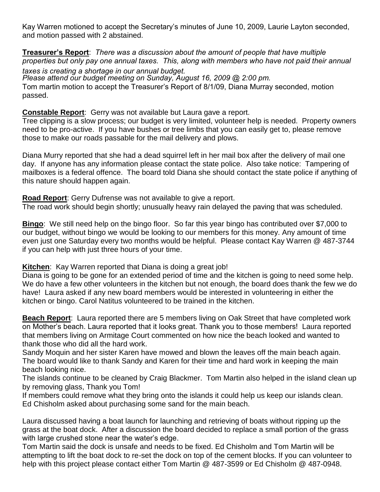Kay Warren motioned to accept the Secretary's minutes of June 10, 2009, Laurie Layton seconded, and motion passed with 2 abstained.

**Treasurer's Report**: *There was a discussion about the amount of people that have multiple properties but only pay one annual taxes. This, along with members who have not paid their annual taxes is creating a shortage in our annual budget. Please attend our budget meeting on Sunday, August 16, 2009 @ 2:00 pm.*  Tom martin motion to accept the Treasurer's Report of 8/1/09, Diana Murray seconded, motion passed.

**Constable Report**: Gerry was not available but Laura gave a report.

Tree clipping is a slow process; our budget is very limited, volunteer help is needed. Property owners need to be pro-active. If you have bushes or tree limbs that you can easily get to, please remove those to make our roads passable for the mail delivery and plows.

Diana Murry reported that she had a dead squirrel left in her mail box after the delivery of mail one day. If anyone has any information please contact the state police. Also take notice: Tampering of mailboxes is a federal offence. The board told Diana she should contact the state police if anything of this nature should happen again.

**Road Report**: Gerry Dufrense was not available to give a report. The road work should begin shortly; unusually heavy rain delayed the paving that was scheduled.

**Bingo**: We still need help on the bingo floor. So far this year bingo has contributed over \$7,000 to our budget, without bingo we would be looking to our members for this money. Any amount of time even just one Saturday every two months would be helpful. Please contact Kay Warren @ 487-3744 if you can help with just three hours of your time.

**Kitchen**: Kay Warren reported that Diana is doing a great job!

Diana is going to be gone for an extended period of time and the kitchen is going to need some help. We do have a few other volunteers in the kitchen but not enough, the board does thank the few we do have! Laura asked if any new board members would be interested in volunteering in either the kitchen or bingo. Carol Natitus volunteered to be trained in the kitchen.

**Beach Report**: Laura reported there are 5 members living on Oak Street that have completed work on Mother's beach. Laura reported that it looks great. Thank you to those members! Laura reported that members living on Armitage Court commented on how nice the beach looked and wanted to thank those who did all the hard work.

Sandy Moquin and her sister Karen have mowed and blown the leaves off the main beach again. The board would like to thank Sandy and Karen for their time and hard work in keeping the main beach looking nice.

The islands continue to be cleaned by Craig Blackmer. Tom Martin also helped in the island clean up by removing glass, Thank you Tom!

If members could remove what they bring onto the islands it could help us keep our islands clean. Ed Chisholm asked about purchasing some sand for the main beach.

Laura discussed having a boat launch for launching and retrieving of boats without ripping up the grass at the boat dock. After a discussion the board decided to replace a small portion of the grass with large crushed stone near the water's edge.

Tom Martin said the dock is unsafe and needs to be fixed. Ed Chisholm and Tom Martin will be attempting to lift the boat dock to re-set the dock on top of the cement blocks. If you can volunteer to help with this project please contact either Tom Martin @ 487-3599 or Ed Chisholm @ 487-0948.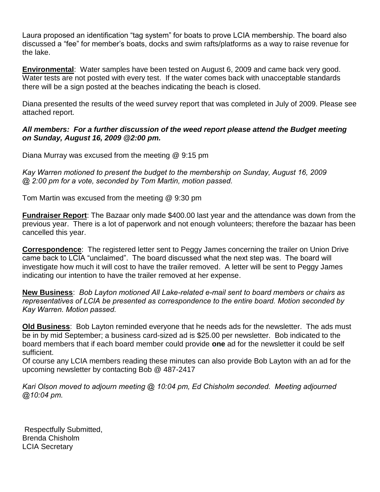Laura proposed an identification "tag system" for boats to prove LCIA membership. The board also discussed a "fee" for member's boats, docks and swim rafts/platforms as a way to raise revenue for the lake.

**Environmental**: Water samples have been tested on August 6, 2009 and came back very good. Water tests are not posted with every test. If the water comes back with unacceptable standards there will be a sign posted at the beaches indicating the beach is closed.

Diana presented the results of the weed survey report that was completed in July of 2009. Please see attached report.

## *All members: For a further discussion of the weed report please attend the Budget meeting on Sunday, August 16, 2009 @2:00 pm.*

Diana Murray was excused from the meeting @ 9:15 pm

*Kay Warren motioned to present the budget to the membership on Sunday, August 16, 2009 @ 2:00 pm for a vote, seconded by Tom Martin, motion passed.*

Tom Martin was excused from the meeting @ 9:30 pm

**Fundraiser Report**: The Bazaar only made \$400.00 last year and the attendance was down from the previous year. There is a lot of paperwork and not enough volunteers; therefore the bazaar has been cancelled this year.

**Correspondence**: The registered letter sent to Peggy James concerning the trailer on Union Drive came back to LCIA "unclaimed". The board discussed what the next step was. The board will investigate how much it will cost to have the trailer removed. A letter will be sent to Peggy James indicating our intention to have the trailer removed at her expense.

**New Business**: *Bob Layton motioned All Lake-related e-mail sent to board members or chairs as representatives of LCIA be presented as correspondence to the entire board. Motion seconded by Kay Warren. Motion passed.* 

**Old Business**: Bob Layton reminded everyone that he needs ads for the newsletter. The ads must be in by mid September; a business card-sized ad is \$25.00 per newsletter. Bob indicated to the board members that if each board member could provide **one** ad for the newsletter it could be self sufficient.

Of course any LCIA members reading these minutes can also provide Bob Layton with an ad for the upcoming newsletter by contacting Bob @ 487-2417

*Kari Olson moved to adjourn meeting @ 10:04 pm, Ed Chisholm seconded. Meeting adjourned @10:04 pm.* 

 Respectfully Submitted, Brenda Chisholm LCIA Secretary